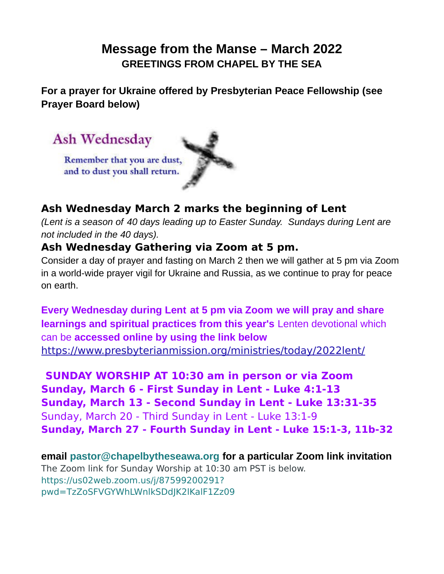# **Message from the Manse – March 2022 GREETINGS FROM CHAPEL BY THE SEA**

**For a prayer for Ukraine offered by Presbyterian Peace Fellowship (see Prayer Board below)**



## **Ash Wednesday March 2 marks the beginning of Lent**

*(Lent is a season of 40 days leading up to Easter Sunday. Sundays during Lent are not included in the 40 days).*

### **Ash Wednesday Gathering via Zoom at 5 pm.**

Consider a day of prayer and fasting on March 2 then we will gather at 5 pm via Zoom in a world-wide prayer vigil for Ukraine and Russia, as we continue to pray for peace on earth.

**Every Wednesday during Lent at 5 pm via Zoom we will pray and share learnings and spiritual practices from this year's** Lenten devotional which can be **accessed online by using the link below** <https://www.presbyterianmission.org/ministries/today/2022lent/>

**SUNDAY WORSHIP AT 10:30 am in person or via Zoom Sunday, March 6 - First Sunday in Lent - Luke 4:1-13 Sunday, March 13 - Second Sunday in Lent - Luke 13:31-35** Sunday, March 20 - Third Sunday in Lent - Luke 13:1-9 **Sunday, March 27 - Fourth Sunday in Lent - Luke 15:1-3, 11b-32**

**email [pastor@chapelbytheseawa.org](mailto:pastor@chapelbytheseawa.org) for a particular Zoom link invitation** The Zoom link for Sunday Worship at 10:30 am PST is below. [https://us02web.zoom.us/j/87599200291?](https://us02web.zoom.us/j/87599200291?pwd=TzZoSFVGYWhLWnlkSDdJK2lKalF1Zz09) [pwd=TzZoSFVGYWhLWnlkSDdJK2lKalF1Zz09](https://us02web.zoom.us/j/87599200291?pwd=TzZoSFVGYWhLWnlkSDdJK2lKalF1Zz09)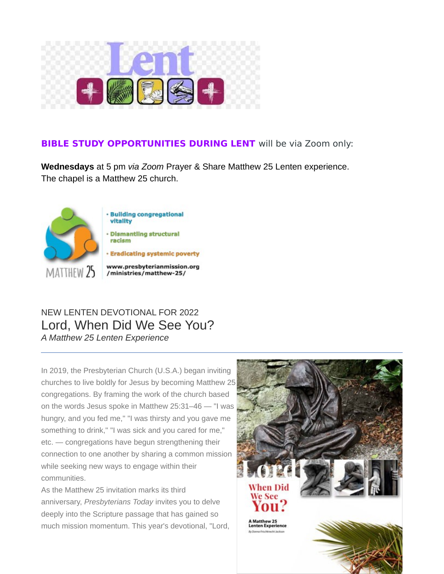

#### **BIBLE STUDY OPPORTUNITIES DURING LENT** will be via Zoom only:

**Wednesdays** at 5 pm *via Zoom* Prayer & Share Matthew 25 Lenten experience. The chapel is a Matthew 25 church.



# NEW LENTEN DEVOTIONAL FOR 2022 Lord, When Did We See You? *A Matthew 25 Lenten Experience*

In 2019, the Presbyterian Church (U.S.A.) began inviting churches to live boldly for Jesus by becoming Matthew 25 congregations. By framing the work of the church based on the words Jesus spoke in Matthew 25:31–46 — "I was hungry, and you fed me," "I was thirsty and you gave me something to drink," "I was sick and you cared for me," etc. — congregations have begun strengthening their connection to one another by sharing a common mission while seeking new ways to engage within their communities.

As the Matthew 25 invitation marks its third anniversary, *Presbyterians Today* invites you to delve deeply into the Scripture passage that has gained so much mission momentum. This year's devotional, "Lord,

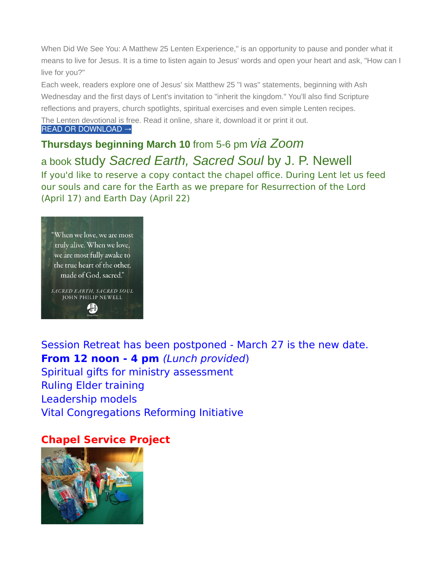When Did We See You: A Matthew 25 Lenten Experience," is an opportunity to pause and ponder what it means to live for Jesus. It is a time to listen again to Jesus' words and open your heart and ask, "How can I live for you?"

Each week, readers explore one of Jesus' six Matthew 25 "I was" statements, beginning with Ash Wednesday and the first days of Lent's invitation to "inherit the kingdom." You'll also find Scripture reflections and prayers, church spotlights, spiritual exercises and even simple Lenten recipes. The Lenten devotional is free. Read it online, share it, download it or print it out.

[READ OR DOWNLOAD →](https://pcusa.lt.acemlna.com/Prod/link-tracker?redirectUrl=aHR0cHMlM0ElMkYlMkZ3d3cucHJlc2J5dGVyaWFubWlzc2lvbi5vcmclMkZtaW5pc3RyaWVzJTJGdG9kYXklMkYyMDIybGVudCUyRiUzRnV0bV9zb3VyY2UlM0RBY3RpdmVDYW1wYWlnbiUyNnV0bV9tZWRpdW0lM0RlbWFpbCUyNnV0bV9jb250ZW50JTNEUHJlc2J5dGVyaWFucyUyQlRvZGF5JTJCJTI1N0MlMkJBJTJCQ2h1cmNoJTJCQ2hhbmdlZCUyQmJ5JTJCQ292aWQlMjZ1dG1fY2FtcGFpZ24lM0RQcmVzYnl0ZXJpYW5zJTJCVG9kYXklMkItJTJCRmVicnVhcnklMkIyMDIyJTJCTmV3c2xldHRlcg==&sig=5ZPjaY7yCSsgpyh281ywiicgKtZ1cUwJKmhee1znNyc6&iat=1645366398&a=%7C%7C89675914%7C%7C&account=pcusa.activehosted.com&email=tbYpXiU0YA5p3P8cHlTLjBwUnRnlmwiuCIJkd9A7F3A%3D&s=9fdf4b18c91aa60d837635ae0476836e&i=3163A3443A128A62345)

**Thursdays beginning March 10** from 5-6 pm *via Zoom* a book study *Sacred Earth, Sacred Soul* by J. P. Newell If you'd like to reserve a copy contact the chapel office. During Lent let us feed our souls and care for the Earth as we prepare for Resurrection of the Lord (April 17) and Earth Day (April 22)



Session Retreat has been postponed - March 27 is the new date. **From 12 noon - 4 pm** (Lunch provided) Spiritual gifts for ministry assessment Ruling Elder training Leadership models Vital Congregations Reforming Initiative

### **Chapel Service Project**

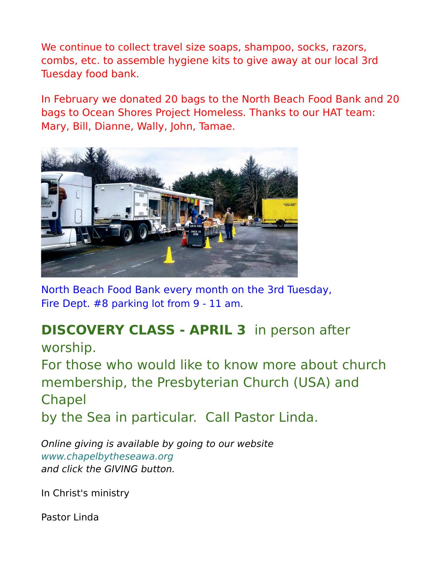We continue to collect travel size soaps, shampoo, socks, razors, combs, etc. to assemble hygiene kits to give away at our local 3rd Tuesday food bank.

In February we donated 20 bags to the North Beach Food Bank and 20 bags to Ocean Shores Project Homeless. Thanks to our HAT team: Mary, Bill, Dianne, Wally, John, Tamae.



North Beach Food Bank every month on the 3rd Tuesday, Fire Dept. #8 parking lot from 9 - 11 am.

# **DISCOVERY CLASS - APRIL 3** in person after worship.

For those who would like to know more about church membership, the Presbyterian Church (USA) and Chapel by the Sea in particular. Call Pastor Linda.

Online giving is available by going to our website [www.chapelbytheseawa.org](http://www.chapelbytheseawa.org/) and click the GIVING button.

In Christ's ministry

Pastor Linda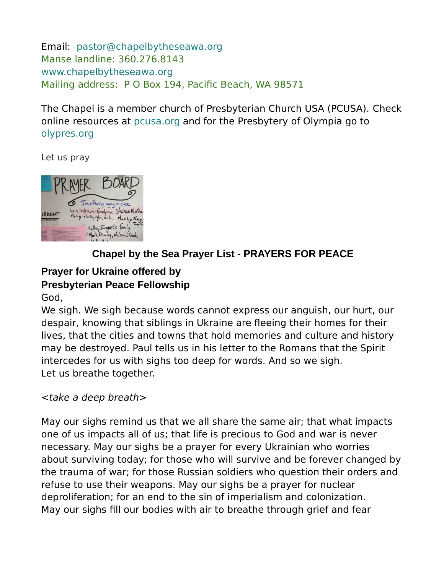Email: [pastor@chapelbytheseawa.org](mailto:pastor@chapelbytheseawa.org) Manse landline: 360.276.8143 [www.chapelbytheseawa.org](http://www.chapelbytheseawa.org/) Mailing address: P O Box 194, Pacific Beach, WA 98571

The Chapel is a member church of Presbyterian Church USA (PCUSA). Check online resources at [pcusa.org](http://pcusa.org/) and for the Presbytery of Olympia go to [olypres.org](http://olypres.org/)

Let us pray



# **Chapel by the Sea Prayer List - PRAYERS FOR PEACE**

# **Prayer for Ukraine offered by**

### **Presbyterian Peace Fellowship**

God,

We sigh. We sigh because words cannot express our anguish, our hurt, our despair, knowing that siblings in Ukraine are fleeing their homes for their lives, that the cities and towns that hold memories and culture and history may be destroyed. Paul tells us in his letter to the Romans that the Spirit intercedes for us with sighs too deep for words. And so we sigh. Let us breathe together.

### <take a deep breath>

May our sighs remind us that we all share the same air; that what impacts one of us impacts all of us; that life is precious to God and war is never necessary. May our sighs be a prayer for every Ukrainian who worries about surviving today; for those who will survive and be forever changed by the trauma of war; for those Russian soldiers who question their orders and refuse to use their weapons. May our sighs be a prayer for nuclear deproliferation; for an end to the sin of imperialism and colonization. May our sighs fill our bodies with air to breathe through grief and fear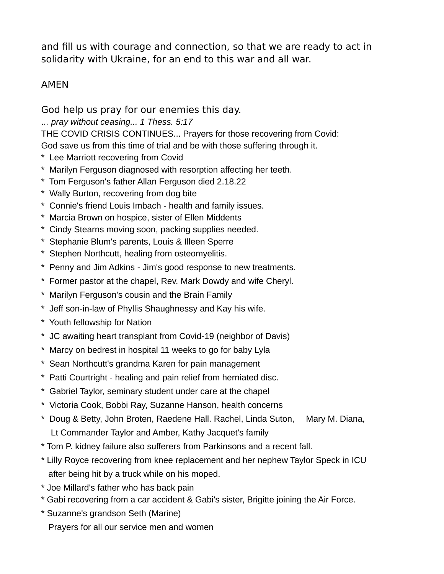and fill us with courage and connection, so that we are ready to act in solidarity with Ukraine, for an end to this war and all war.

### AMEN

God help us pray for our enemies this day.

... *pray without ceasing... 1 Thess. 5:17*

THE COVID CRISIS CONTINUES... Prayers for those recovering from Covid: God save us from this time of trial and be with those suffering through it.

- \* Lee Marriott recovering from Covid
- \* Marilyn Ferguson diagnosed with resorption affecting her teeth.
- \* Tom Ferguson's father Allan Ferguson died 2.18.22
- \* Wally Burton, recovering from dog bite
- \* Connie's friend Louis Imbach health and family issues.
- \* Marcia Brown on hospice, sister of Ellen Middents
- \* Cindy Stearns moving soon, packing supplies needed.
- \* Stephanie Blum's parents, Louis & Illeen Sperre
- \* Stephen Northcutt, healing from osteomyelitis.
- \* Penny and Jim Adkins Jim's good response to new treatments.
- \* Former pastor at the chapel, Rev. Mark Dowdy and wife Cheryl.
- \* Marilyn Ferguson's cousin and the Brain Family
- \* Jeff son-in-law of Phyllis Shaughnessy and Kay his wife.
- \* Youth fellowship for Nation
- \* JC awaiting heart transplant from Covid-19 (neighbor of Davis)
- \* Marcy on bedrest in hospital 11 weeks to go for baby Lyla
- \* Sean Northcutt's grandma Karen for pain management
- \* Patti Courtright healing and pain relief from herniated disc.
- \* Gabriel Taylor, seminary student under care at the chapel
- \* Victoria Cook, Bobbi Ray, Suzanne Hanson, health concerns
- \* Doug & Betty, John Broten, Raedene Hall. Rachel, Linda Suton, Mary M. Diana, Lt Commander Taylor and Amber, Kathy Jacquet's family
- \* Tom P. kidney failure also sufferers from Parkinsons and a recent fall.
- \* Lilly Royce recovering from knee replacement and her nephew Taylor Speck in ICU after being hit by a truck while on his moped.
- \* Joe Millard's father who has back pain
- \* Gabi recovering from a car accident & Gabi's sister, Brigitte joining the Air Force.
- \* Suzanne's grandson Seth (Marine)

Prayers for all our service men and women